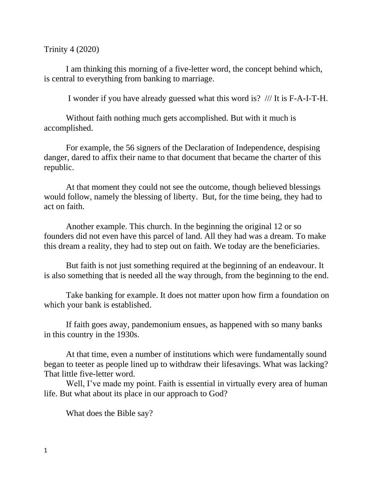Trinity 4 (2020)

I am thinking this morning of a five-letter word, the concept behind which, is central to everything from banking to marriage.

I wonder if you have already guessed what this word is? /// It is F-A-I-T-H.

Without faith nothing much gets accomplished. But with it much is accomplished.

For example, the 56 signers of the Declaration of Independence, despising danger, dared to affix their name to that document that became the charter of this republic.

At that moment they could not see the outcome, though believed blessings would follow, namely the blessing of liberty. But, for the time being, they had to act on faith.

Another example. This church. In the beginning the original 12 or so founders did not even have this parcel of land. All they had was a dream. To make this dream a reality, they had to step out on faith. We today are the beneficiaries.

But faith is not just something required at the beginning of an endeavour. It is also something that is needed all the way through, from the beginning to the end.

Take banking for example. It does not matter upon how firm a foundation on which your bank is established.

If faith goes away, pandemonium ensues, as happened with so many banks in this country in the 1930s.

At that time, even a number of institutions which were fundamentally sound began to teeter as people lined up to withdraw their lifesavings. What was lacking? That little five-letter word.

Well, I've made my point. Faith is essential in virtually every area of human life. But what about its place in our approach to God?

What does the Bible say?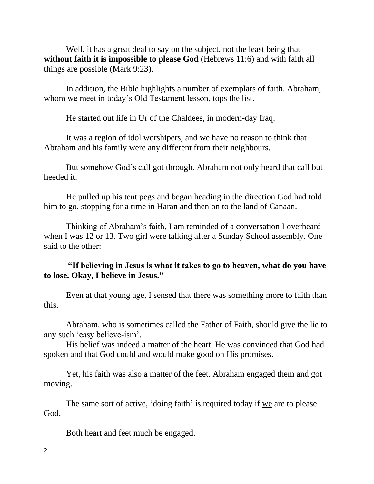Well, it has a great deal to say on the subject, not the least being that **without faith it is impossible to please God** (Hebrews 11:6) and with faith all things are possible (Mark 9:23).

In addition, the Bible highlights a number of exemplars of faith. Abraham, whom we meet in today's Old Testament lesson, tops the list.

He started out life in Ur of the Chaldees, in modern-day Iraq.

It was a region of idol worshipers, and we have no reason to think that Abraham and his family were any different from their neighbours.

But somehow God's call got through. Abraham not only heard that call but heeded it.

He pulled up his tent pegs and began heading in the direction God had told him to go, stopping for a time in Haran and then on to the land of Canaan.

Thinking of Abraham's faith, I am reminded of a conversation I overheard when I was 12 or 13. Two girl were talking after a Sunday School assembly. One said to the other:

## **"If believing in Jesus is what it takes to go to heaven, what do you have to lose. Okay, I believe in Jesus."**

Even at that young age, I sensed that there was something more to faith than this.

Abraham, who is sometimes called the Father of Faith, should give the lie to any such 'easy believe-ism'.

His belief was indeed a matter of the heart. He was convinced that God had spoken and that God could and would make good on His promises.

Yet, his faith was also a matter of the feet. Abraham engaged them and got moving.

The same sort of active, 'doing faith' is required today if we are to please God.

Both heart and feet much be engaged.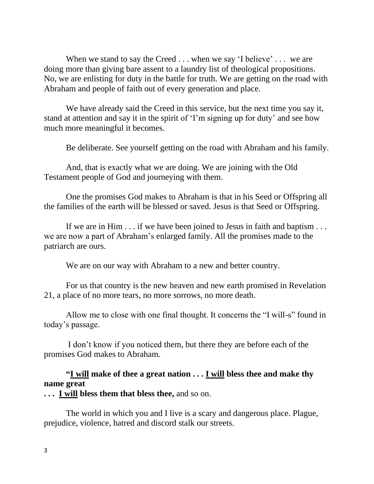When we stand to say the Creed . . . when we say 'I believe' . . . we are doing more than giving bare assent to a laundry list of theological propositions. No, we are enlisting for duty in the battle for truth. We are getting on the road with Abraham and people of faith out of every generation and place.

We have already said the Creed in this service, but the next time you say it, stand at attention and say it in the spirit of 'I'm signing up for duty' and see how much more meaningful it becomes.

Be deliberate. See yourself getting on the road with Abraham and his family.

And, that is exactly what we are doing. We are joining with the Old Testament people of God and journeying with them.

One the promises God makes to Abraham is that in his Seed or Offspring all the families of the earth will be blessed or saved. Jesus is that Seed or Offspring.

If we are in Him . . . if we have been joined to Jesus in faith and baptism . . . we are now a part of Abraham's enlarged family. All the promises made to the patriarch are ours.

We are on our way with Abraham to a new and better country.

For us that country is the new heaven and new earth promised in Revelation 21, a place of no more tears, no more sorrows, no more death.

Allow me to close with one final thought. It concerns the "I will-s" found in today's passage.

I don't know if you noticed them, but there they are before each of the promises God makes to Abraham.

## **"I will make of thee a great nation . . . I will bless thee and make thy name great**

**. . . I will bless them that bless thee,** and so on.

The world in which you and I live is a scary and dangerous place. Plague, prejudice, violence, hatred and discord stalk our streets.